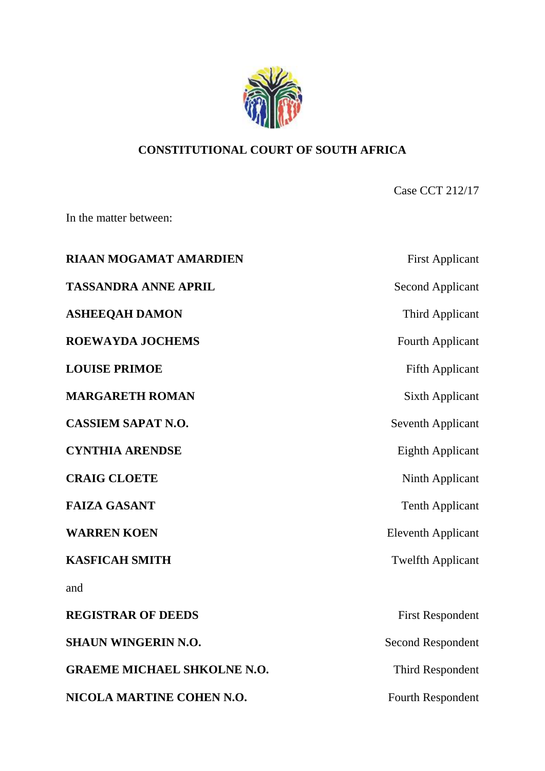

# **CONSTITUTIONAL COURT OF SOUTH AFRICA**

Case CCT 212/17

In the matter between:

| <b>RIAAN MOGAMAT AMARDIEN</b>      | <b>First Applicant</b>    |
|------------------------------------|---------------------------|
| <b>TASSANDRA ANNE APRIL</b>        | <b>Second Applicant</b>   |
| <b>ASHEEQAH DAMON</b>              | <b>Third Applicant</b>    |
| <b>ROEWAYDA JOCHEMS</b>            | <b>Fourth Applicant</b>   |
| <b>LOUISE PRIMOE</b>               | <b>Fifth Applicant</b>    |
| <b>MARGARETH ROMAN</b>             | <b>Sixth Applicant</b>    |
| <b>CASSIEM SAPAT N.O.</b>          | <b>Seventh Applicant</b>  |
| <b>CYNTHIA ARENDSE</b>             | <b>Eighth Applicant</b>   |
| <b>CRAIG CLOETE</b>                | Ninth Applicant           |
| <b>FAIZA GASANT</b>                | <b>Tenth Applicant</b>    |
| <b>WARREN KOEN</b>                 | <b>Eleventh Applicant</b> |
| <b>KASFICAH SMITH</b>              | <b>Twelfth Applicant</b>  |
| and                                |                           |
| <b>REGISTRAR OF DEEDS</b>          | <b>First Respondent</b>   |
| <b>SHAUN WINGERIN N.O.</b>         | <b>Second Respondent</b>  |
| <b>GRAEME MICHAEL SHKOLNE N.O.</b> | <b>Third Respondent</b>   |
| NICOLA MARTINE COHEN N.O.          | <b>Fourth Respondent</b>  |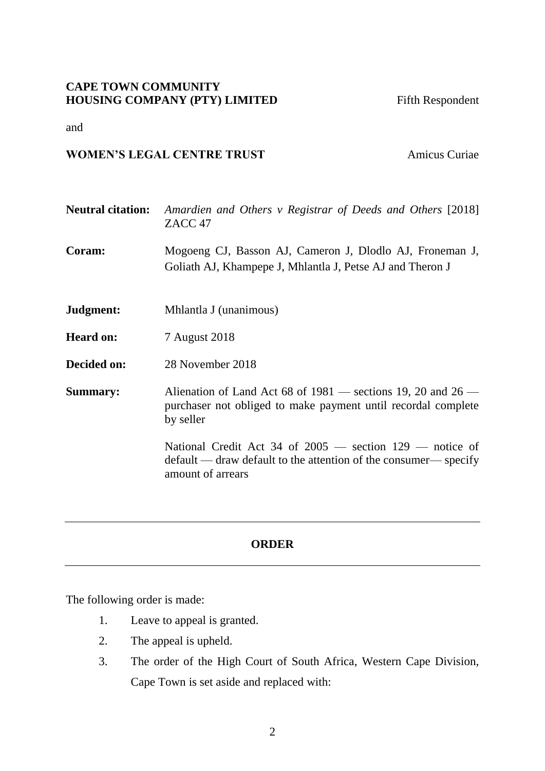# **CAPE TOWN COMMUNITY HOUSING COMPANY (PTY) LIMITED** Fifth Respondent

and

# **WOMEN'S LEGAL CENTRE TRUST** Amicus Curiae

| <b>Neutral citation:</b> | Amardien and Others v Registrar of Deeds and Others [2018]<br>ZACC <sub>47</sub>                                                                      |
|--------------------------|-------------------------------------------------------------------------------------------------------------------------------------------------------|
| Coram:                   | Mogoeng CJ, Basson AJ, Cameron J, Dlodlo AJ, Froneman J,<br>Goliath AJ, Khampepe J, Mhlantla J, Petse AJ and Theron J                                 |
| Judgment:                | Mhlantla J (unanimous)                                                                                                                                |
| <b>Heard on:</b>         | 7 August 2018                                                                                                                                         |
| Decided on:              | 28 November 2018                                                                                                                                      |
| <b>Summary:</b>          | Alienation of Land Act 68 of $1981$ — sections 19, 20 and 26 —<br>purchaser not obliged to make payment until recordal complete<br>by seller          |
|                          | National Credit Act 34 of $2005$ — section $129$ — notice of<br>default — draw default to the attention of the consumer— specify<br>amount of arrears |
|                          |                                                                                                                                                       |

# **ORDER**

The following order is made:

- 1. Leave to appeal is granted.
- 2. The appeal is upheld.
- 3. The order of the High Court of South Africa, Western Cape Division, Cape Town is set aside and replaced with: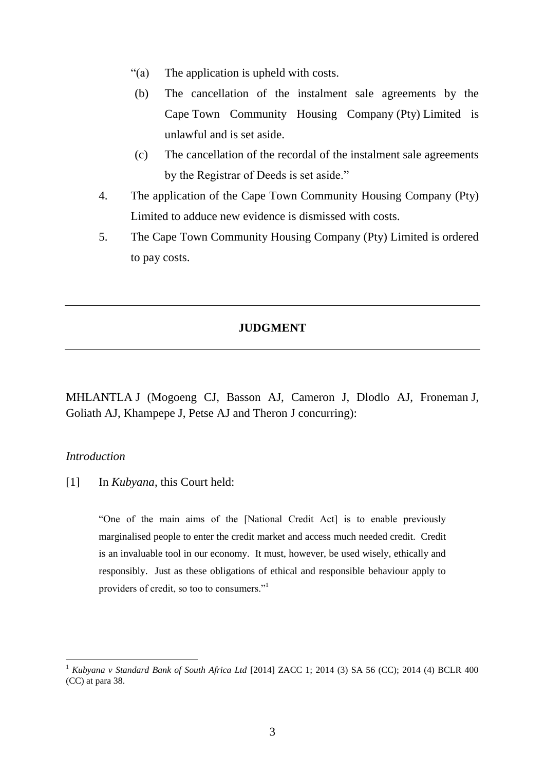- "(a) The application is upheld with costs.
- (b) The cancellation of the instalment sale agreements by the Cape Town Community Housing Company (Pty) Limited is unlawful and is set aside.
- (c) The cancellation of the recordal of the instalment sale agreements by the Registrar of Deeds is set aside."
- 4. The application of the Cape Town Community Housing Company (Pty) Limited to adduce new evidence is dismissed with costs.
- 5. The Cape Town Community Housing Company (Pty) Limited is ordered to pay costs.

### **JUDGMENT**

MHLANTLA J (Mogoeng CJ, Basson AJ, Cameron J, Dlodlo AJ, Froneman J, Goliath AJ, Khampepe J, Petse AJ and Theron J concurring):

## *Introduction*

 $\overline{a}$ 

[1] In *Kubyana*, this Court held:

"One of the main aims of the [National Credit Act] is to enable previously marginalised people to enter the credit market and access much needed credit. Credit is an invaluable tool in our economy. It must, however, be used wisely, ethically and responsibly. Just as these obligations of ethical and responsible behaviour apply to providers of credit, so too to consumers."<sup>1</sup>

<sup>1</sup> *Kubyana v Standard Bank of South Africa Ltd* [2014] ZACC 1; 2014 (3) SA 56 (CC); 2014 (4) BCLR 400 (CC) at para 38.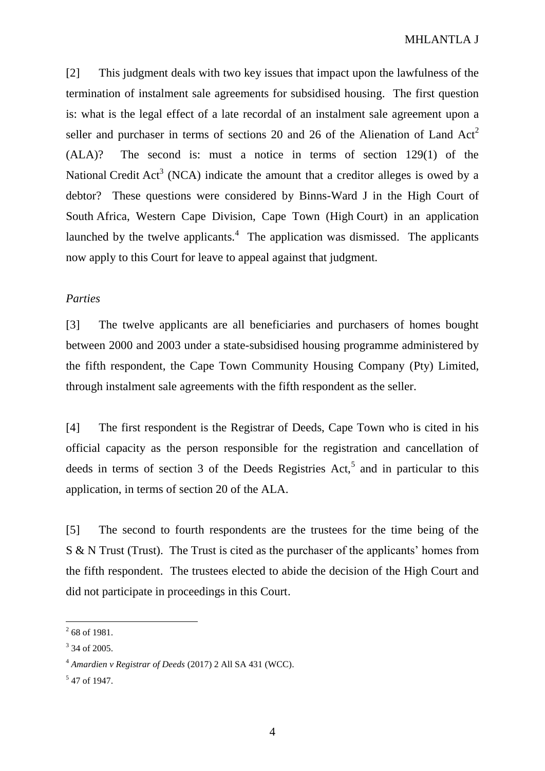[2] This judgment deals with two key issues that impact upon the lawfulness of the termination of instalment sale agreements for subsidised housing. The first question is: what is the legal effect of a late recordal of an instalment sale agreement upon a seller and purchaser in terms of sections 20 and 26 of the Alienation of Land  $Act<sup>2</sup>$ (ALA)? The second is: must a notice in terms of section 129(1) of the National Credit Act<sup>3</sup> (NCA) indicate the amount that a creditor alleges is owed by a debtor? These questions were considered by Binns-Ward J in the High Court of South Africa, Western Cape Division, Cape Town (High Court) in an application launched by the twelve applicants. $4$  The application was dismissed. The applicants now apply to this Court for leave to appeal against that judgment.

# *Parties*

[3] The twelve applicants are all beneficiaries and purchasers of homes bought between 2000 and 2003 under a state-subsidised housing programme administered by the fifth respondent, the Cape Town Community Housing Company (Pty) Limited, through instalment sale agreements with the fifth respondent as the seller.

[4] The first respondent is the Registrar of Deeds, Cape Town who is cited in his official capacity as the person responsible for the registration and cancellation of deeds in terms of section 3 of the Deeds Registries Act,<sup>5</sup> and in particular to this application, in terms of section 20 of the ALA.

[5] The second to fourth respondents are the trustees for the time being of the S & N Trust (Trust). The Trust is cited as the purchaser of the applicants' homes from the fifth respondent. The trustees elected to abide the decision of the High Court and did not participate in proceedings in this Court.

 $\frac{1}{2}$  68 of 1981.

<sup>&</sup>lt;sup>3</sup> 34 of 2005.

<sup>4</sup> *Amardien v Registrar of Deeds* (2017) 2 All SA 431 (WCC).

<sup>5</sup> 47 of 1947.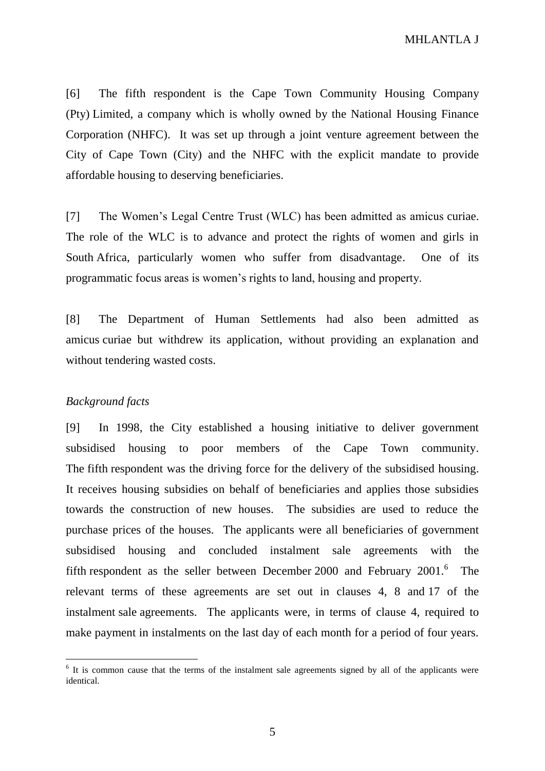[6] The fifth respondent is the Cape Town Community Housing Company (Pty) Limited, a company which is wholly owned by the National Housing Finance Corporation (NHFC). It was set up through a joint venture agreement between the City of Cape Town (City) and the NHFC with the explicit mandate to provide affordable housing to deserving beneficiaries.

[7] The Women's Legal Centre Trust (WLC) has been admitted as amicus curiae. The role of the WLC is to advance and protect the rights of women and girls in South Africa, particularly women who suffer from disadvantage. One of its programmatic focus areas is women's rights to land, housing and property.

[8] The Department of Human Settlements had also been admitted as amicus curiae but withdrew its application, without providing an explanation and without tendering wasted costs.

### *Background facts*

 $\overline{a}$ 

[9] In 1998, the City established a housing initiative to deliver government subsidised housing to poor members of the Cape Town community. The fifth respondent was the driving force for the delivery of the subsidised housing. It receives housing subsidies on behalf of beneficiaries and applies those subsidies towards the construction of new houses. The subsidies are used to reduce the purchase prices of the houses. The applicants were all beneficiaries of government subsidised housing and concluded instalment sale agreements with the fifth respondent as the seller between December 2000 and February  $2001$ .<sup>6</sup> The relevant terms of these agreements are set out in clauses 4, 8 and 17 of the instalment sale agreements. The applicants were, in terms of clause 4, required to make payment in instalments on the last day of each month for a period of four years.

<sup>&</sup>lt;sup>6</sup> It is common cause that the terms of the instalment sale agreements signed by all of the applicants were identical.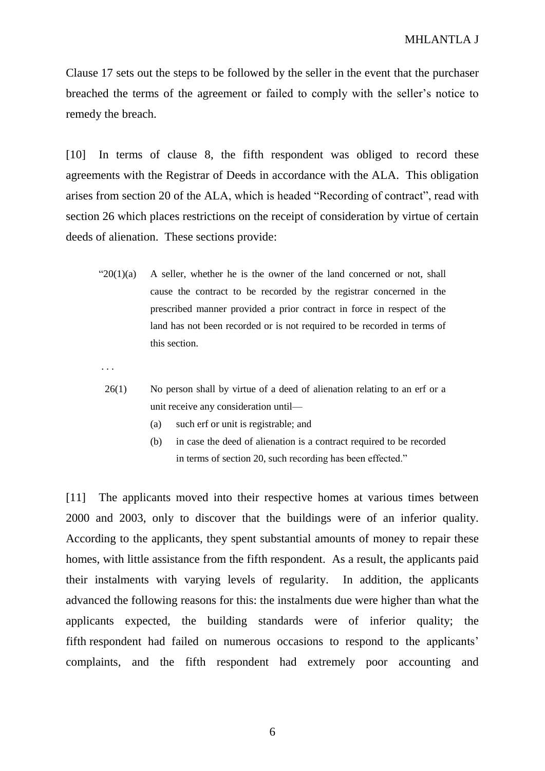Clause 17 sets out the steps to be followed by the seller in the event that the purchaser breached the terms of the agreement or failed to comply with the seller's notice to remedy the breach.

[10] In terms of clause 8, the fifth respondent was obliged to record these agreements with the Registrar of Deeds in accordance with the ALA. This obligation arises from section 20 of the ALA, which is headed "Recording of contract", read with section 26 which places restrictions on the receipt of consideration by virtue of certain deeds of alienation. These sections provide:

" $20(1)(a)$  A seller, whether he is the owner of the land concerned or not, shall cause the contract to be recorded by the registrar concerned in the prescribed manner provided a prior contract in force in respect of the land has not been recorded or is not required to be recorded in terms of this section.

. . .

- 26(1) No person shall by virtue of a deed of alienation relating to an erf or a unit receive any consideration until—
	- (a) such erf or unit is registrable; and
	- (b) in case the deed of alienation is a contract required to be recorded in terms of section 20, such recording has been effected."

[11] The applicants moved into their respective homes at various times between 2000 and 2003, only to discover that the buildings were of an inferior quality. According to the applicants, they spent substantial amounts of money to repair these homes, with little assistance from the fifth respondent. As a result, the applicants paid their instalments with varying levels of regularity. In addition, the applicants advanced the following reasons for this: the instalments due were higher than what the applicants expected, the building standards were of inferior quality; the fifth respondent had failed on numerous occasions to respond to the applicants' complaints, and the fifth respondent had extremely poor accounting and

6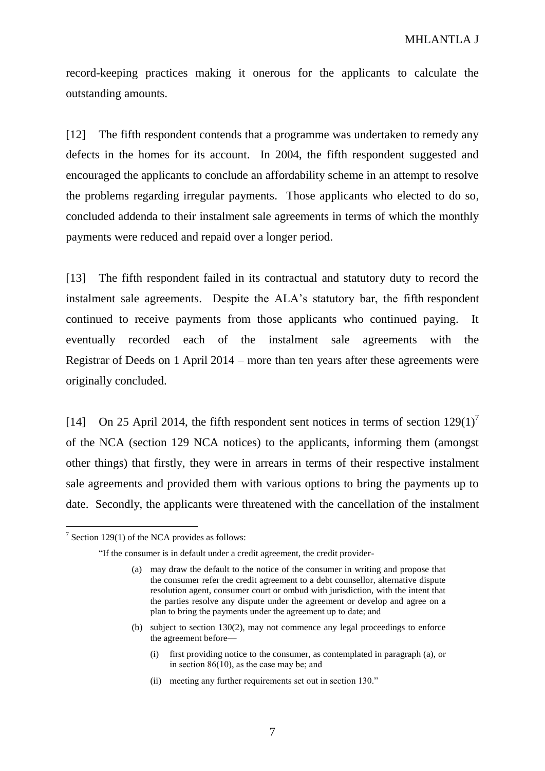record-keeping practices making it onerous for the applicants to calculate the outstanding amounts.

[12] The fifth respondent contends that a programme was undertaken to remedy any defects in the homes for its account. In 2004, the fifth respondent suggested and encouraged the applicants to conclude an affordability scheme in an attempt to resolve the problems regarding irregular payments. Those applicants who elected to do so, concluded addenda to their instalment sale agreements in terms of which the monthly payments were reduced and repaid over a longer period.

[13] The fifth respondent failed in its contractual and statutory duty to record the instalment sale agreements. Despite the ALA's statutory bar, the fifth respondent continued to receive payments from those applicants who continued paying. It eventually recorded each of the instalment sale agreements with the Registrar of Deeds on 1 April 2014 – more than ten years after these agreements were originally concluded.

[14] On 25 April 2014, the fifth respondent sent notices in terms of section  $129(1)^7$ of the NCA (section 129 NCA notices) to the applicants, informing them (amongst other things) that firstly, they were in arrears in terms of their respective instalment sale agreements and provided them with various options to bring the payments up to date. Secondly, the applicants were threatened with the cancellation of the instalment

- (b) subject to section 130(2), may not commence any legal proceedings to enforce the agreement before—
	- (i) first providing notice to the consumer, as contemplated in paragraph (a), or in section 86(10), as the case may be; and
	- (ii) meeting any further requirements set out in section 130."

 $7$  Section 129(1) of the NCA provides as follows:

<sup>&</sup>quot;If the consumer is in default under a credit agreement, the credit provider-

<sup>(</sup>a) may draw the default to the notice of the consumer in writing and propose that the consumer refer the credit agreement to a debt counsellor, alternative dispute resolution agent, consumer court or ombud with jurisdiction, with the intent that the parties resolve any dispute under the agreement or develop and agree on a plan to bring the payments under the agreement up to date; and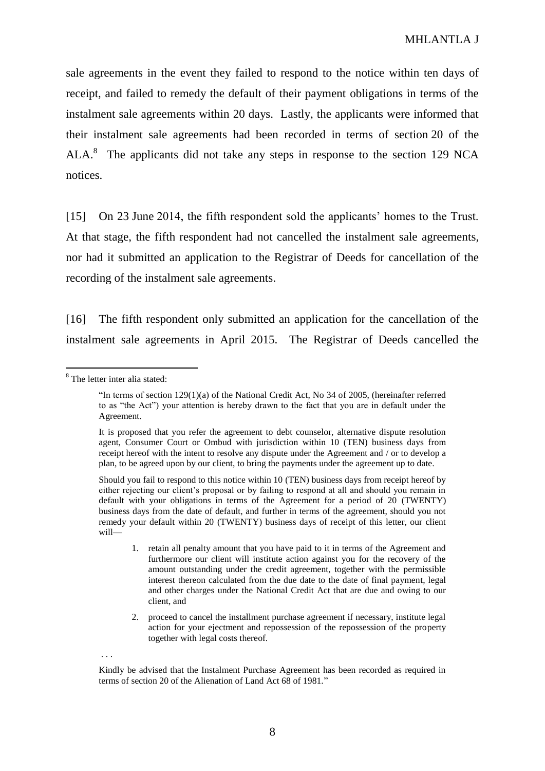sale agreements in the event they failed to respond to the notice within ten days of receipt, and failed to remedy the default of their payment obligations in terms of the instalment sale agreements within 20 days. Lastly, the applicants were informed that their instalment sale agreements had been recorded in terms of section 20 of the ALA.<sup>8</sup> The applicants did not take any steps in response to the section 129 NCA notices.

[15] On 23 June 2014, the fifth respondent sold the applicants' homes to the Trust. At that stage, the fifth respondent had not cancelled the instalment sale agreements, nor had it submitted an application to the Registrar of Deeds for cancellation of the recording of the instalment sale agreements.

[16] The fifth respondent only submitted an application for the cancellation of the instalment sale agreements in April 2015. The Registrar of Deeds cancelled the

 $\overline{a}$ 

. . .

<sup>8</sup> The letter inter alia stated:

<sup>&</sup>quot;In terms of section  $129(1)(a)$  of the National Credit Act, No 34 of 2005, (hereinafter referred to as "the Act") your attention is hereby drawn to the fact that you are in default under the Agreement.

It is proposed that you refer the agreement to debt counselor, alternative dispute resolution agent, Consumer Court or Ombud with jurisdiction within 10 (TEN) business days from receipt hereof with the intent to resolve any dispute under the Agreement and / or to develop a plan, to be agreed upon by our client, to bring the payments under the agreement up to date.

Should you fail to respond to this notice within 10 (TEN) business days from receipt hereof by either rejecting our client's proposal or by failing to respond at all and should you remain in default with your obligations in terms of the Agreement for a period of 20 (TWENTY) business days from the date of default, and further in terms of the agreement, should you not remedy your default within 20 (TWENTY) business days of receipt of this letter, our client will—

<sup>1.</sup> retain all penalty amount that you have paid to it in terms of the Agreement and furthermore our client will institute action against you for the recovery of the amount outstanding under the credit agreement, together with the permissible interest thereon calculated from the due date to the date of final payment, legal and other charges under the National Credit Act that are due and owing to our client, and

<sup>2.</sup> proceed to cancel the installment purchase agreement if necessary, institute legal action for your ejectment and repossession of the repossession of the property together with legal costs thereof.

Kindly be advised that the Instalment Purchase Agreement has been recorded as required in terms of section 20 of the Alienation of Land Act 68 of 1981."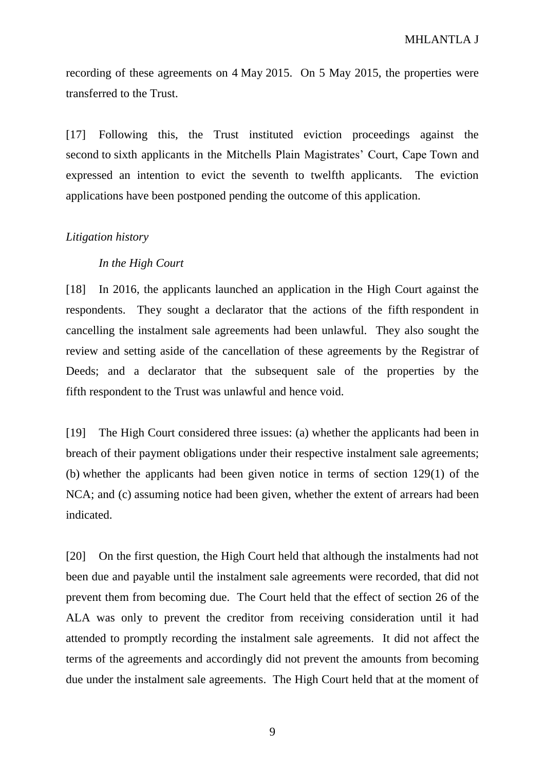recording of these agreements on 4 May 2015. On 5 May 2015, the properties were transferred to the Trust.

[17] Following this, the Trust instituted eviction proceedings against the second to sixth applicants in the Mitchells Plain Magistrates' Court, Cape Town and expressed an intention to evict the seventh to twelfth applicants. The eviction applications have been postponed pending the outcome of this application.

### *Litigation history*

### *In the High Court*

[18] In 2016, the applicants launched an application in the High Court against the respondents. They sought a declarator that the actions of the fifth respondent in cancelling the instalment sale agreements had been unlawful. They also sought the review and setting aside of the cancellation of these agreements by the Registrar of Deeds; and a declarator that the subsequent sale of the properties by the fifth respondent to the Trust was unlawful and hence void.

[19] The High Court considered three issues: (a) whether the applicants had been in breach of their payment obligations under their respective instalment sale agreements; (b) whether the applicants had been given notice in terms of section 129(1) of the NCA; and (c) assuming notice had been given, whether the extent of arrears had been indicated.

[20] On the first question, the High Court held that although the instalments had not been due and payable until the instalment sale agreements were recorded, that did not prevent them from becoming due. The Court held that the effect of section 26 of the ALA was only to prevent the creditor from receiving consideration until it had attended to promptly recording the instalment sale agreements. It did not affect the terms of the agreements and accordingly did not prevent the amounts from becoming due under the instalment sale agreements. The High Court held that at the moment of

9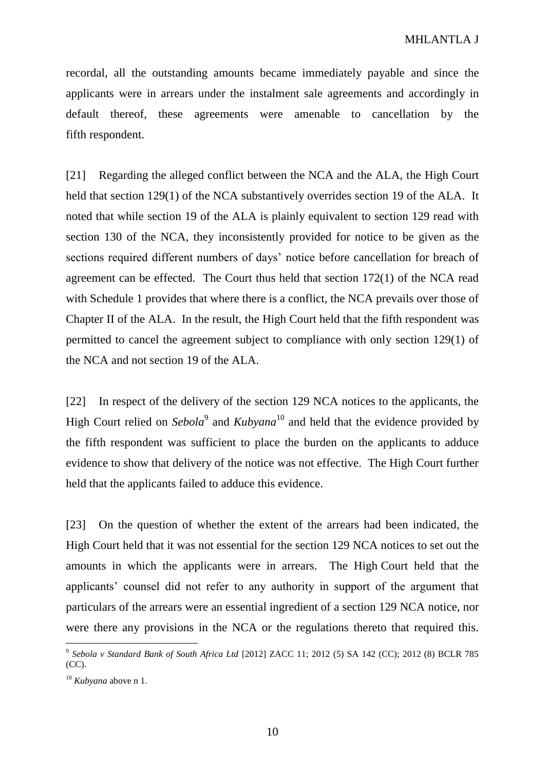recordal, all the outstanding amounts became immediately payable and since the applicants were in arrears under the instalment sale agreements and accordingly in default thereof, these agreements were amenable to cancellation by the fifth respondent.

[21] Regarding the alleged conflict between the NCA and the ALA, the High Court held that section 129(1) of the NCA substantively overrides section 19 of the ALA. It noted that while section 19 of the ALA is plainly equivalent to section 129 read with section 130 of the NCA, they inconsistently provided for notice to be given as the sections required different numbers of days' notice before cancellation for breach of agreement can be effected. The Court thus held that section 172(1) of the NCA read with Schedule 1 provides that where there is a conflict, the NCA prevails over those of Chapter II of the ALA. In the result, the High Court held that the fifth respondent was permitted to cancel the agreement subject to compliance with only section 129(1) of the NCA and not section 19 of the ALA.

[22] In respect of the delivery of the section 129 NCA notices to the applicants, the High Court relied on *Sebola*<sup>9</sup> and *Kubyana*<sup>10</sup> and held that the evidence provided by the fifth respondent was sufficient to place the burden on the applicants to adduce evidence to show that delivery of the notice was not effective. The High Court further held that the applicants failed to adduce this evidence.

[23] On the question of whether the extent of the arrears had been indicated, the High Court held that it was not essential for the section 129 NCA notices to set out the amounts in which the applicants were in arrears. The High Court held that the applicants' counsel did not refer to any authority in support of the argument that particulars of the arrears were an essential ingredient of a section 129 NCA notice, nor were there any provisions in the NCA or the regulations thereto that required this.

<sup>9</sup> *Sebola v Standard Bank of South Africa Ltd* [2012] ZACC 11; 2012 (5) SA 142 (CC); 2012 (8) BCLR 785 (CC).

<sup>10</sup> *Kubyana* above n 1.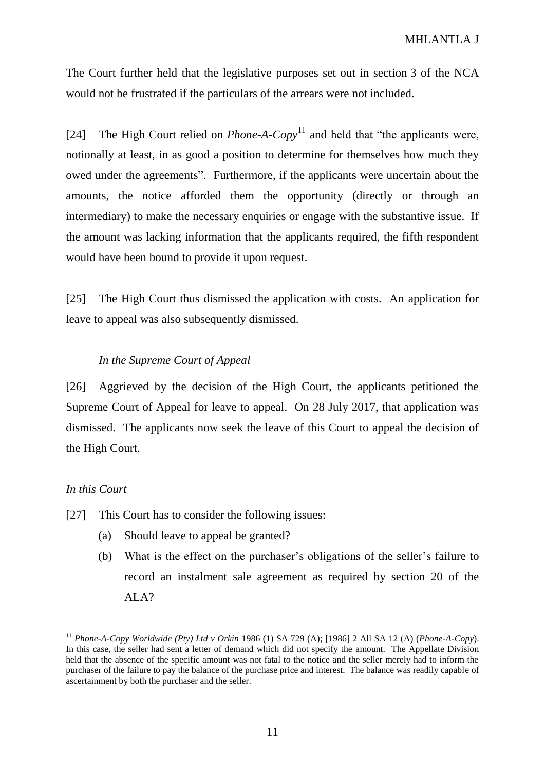The Court further held that the legislative purposes set out in section 3 of the NCA would not be frustrated if the particulars of the arrears were not included.

[24] The High Court relied on *Phone-A-Copy*<sup>11</sup> and held that "the applicants were, notionally at least, in as good a position to determine for themselves how much they owed under the agreements". Furthermore, if the applicants were uncertain about the amounts, the notice afforded them the opportunity (directly or through an intermediary) to make the necessary enquiries or engage with the substantive issue. If the amount was lacking information that the applicants required, the fifth respondent would have been bound to provide it upon request.

[25] The High Court thus dismissed the application with costs. An application for leave to appeal was also subsequently dismissed.

### *In the Supreme Court of Appeal*

[26] Aggrieved by the decision of the High Court, the applicants petitioned the Supreme Court of Appeal for leave to appeal. On 28 July 2017, that application was dismissed. The applicants now seek the leave of this Court to appeal the decision of the High Court.

### *In this Court*

- [27] This Court has to consider the following issues:
	- (a) Should leave to appeal be granted?
	- (b) What is the effect on the purchaser's obligations of the seller's failure to record an instalment sale agreement as required by section 20 of the ALA?

<sup>11</sup> *Phone-A-Copy Worldwide (Pty) Ltd v Orkin* 1986 (1) SA 729 (A); [1986] 2 All SA 12 (A) (*Phone-A-Copy*). In this case, the seller had sent a letter of demand which did not specify the amount. The Appellate Division held that the absence of the specific amount was not fatal to the notice and the seller merely had to inform the purchaser of the failure to pay the balance of the purchase price and interest. The balance was readily capable of ascertainment by both the purchaser and the seller.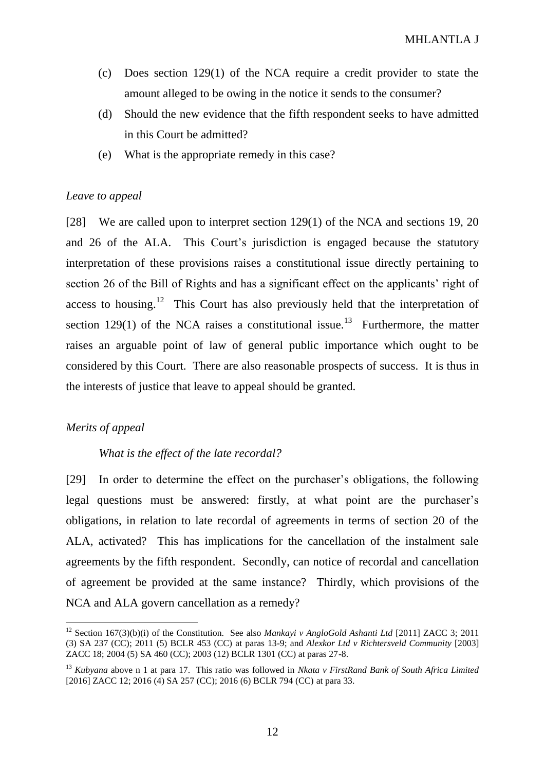- (c) Does section 129(1) of the NCA require a credit provider to state the amount alleged to be owing in the notice it sends to the consumer?
- (d) Should the new evidence that the fifth respondent seeks to have admitted in this Court be admitted?
- (e) What is the appropriate remedy in this case?

# *Leave to appeal*

[28] We are called upon to interpret section 129(1) of the NCA and sections 19, 20 and 26 of the ALA. This Court's jurisdiction is engaged because the statutory interpretation of these provisions raises a constitutional issue directly pertaining to section 26 of the Bill of Rights and has a significant effect on the applicants' right of access to housing.<sup>12</sup> This Court has also previously held that the interpretation of section 129(1) of the NCA raises a constitutional issue.<sup>13</sup> Furthermore, the matter raises an arguable point of law of general public importance which ought to be considered by this Court. There are also reasonable prospects of success. It is thus in the interests of justice that leave to appeal should be granted.

# *Merits of appeal*

 $\overline{a}$ 

# *What is the effect of the late recordal?*

[29] In order to determine the effect on the purchaser's obligations, the following legal questions must be answered: firstly, at what point are the purchaser's obligations, in relation to late recordal of agreements in terms of section 20 of the ALA, activated? This has implications for the cancellation of the instalment sale agreements by the fifth respondent. Secondly, can notice of recordal and cancellation of agreement be provided at the same instance? Thirdly, which provisions of the NCA and ALA govern cancellation as a remedy?

<sup>12</sup> Section 167(3)(b)(i) of the Constitution. See also *Mankayi v AngloGold Ashanti Ltd* [2011] ZACC 3; 2011 (3) SA 237 (CC); 2011 (5) BCLR 453 (CC) at paras 13-9; and *Alexkor Ltd v Richtersveld Community* [2003] ZACC 18; 2004 (5) SA 460 (CC); 2003 (12) BCLR 1301 (CC) at paras 27-8.

<sup>13</sup> *Kubyana* above n 1 at para 17. This ratio was followed in *Nkata v FirstRand Bank of South Africa Limited* [2016] ZACC 12; 2016 (4) SA 257 (CC); 2016 (6) BCLR 794 (CC) at para 33.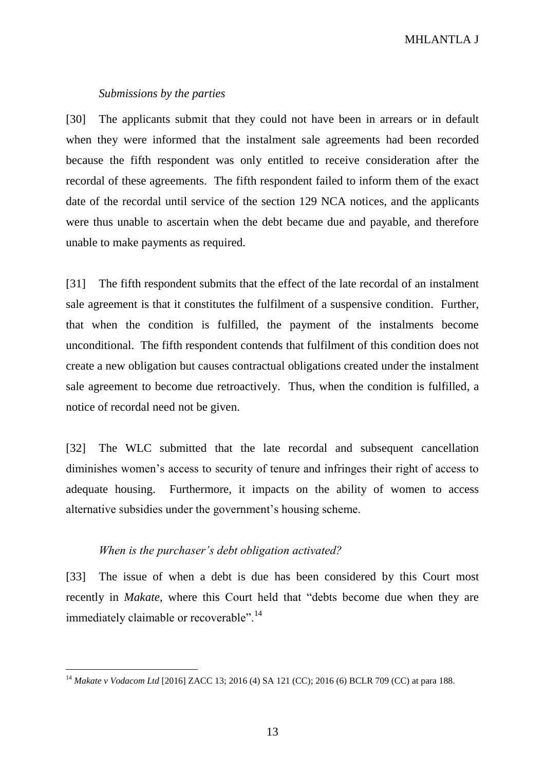MHLANTLA J

#### *Submissions by the parties*

[30] The applicants submit that they could not have been in arrears or in default when they were informed that the instalment sale agreements had been recorded because the fifth respondent was only entitled to receive consideration after the recordal of these agreements. The fifth respondent failed to inform them of the exact date of the recordal until service of the section 129 NCA notices, and the applicants were thus unable to ascertain when the debt became due and payable, and therefore unable to make payments as required.

[31] The fifth respondent submits that the effect of the late recordal of an instalment sale agreement is that it constitutes the fulfilment of a suspensive condition. Further, that when the condition is fulfilled, the payment of the instalments become unconditional. The fifth respondent contends that fulfilment of this condition does not create a new obligation but causes contractual obligations created under the instalment sale agreement to become due retroactively. Thus, when the condition is fulfilled, a notice of recordal need not be given.

[32] The WLC submitted that the late recordal and subsequent cancellation diminishes women's access to security of tenure and infringes their right of access to adequate housing. Furthermore, it impacts on the ability of women to access alternative subsidies under the government's housing scheme.

### *When is the purchaser's debt obligation activated?*

 $\overline{a}$ 

[33] The issue of when a debt is due has been considered by this Court most recently in *Makate*, where this Court held that "debts become due when they are immediately claimable or recoverable".<sup>14</sup>

<sup>14</sup> *Makate v Vodacom Ltd* [2016] ZACC 13; 2016 (4) SA 121 (CC); 2016 (6) BCLR 709 (CC) at para 188.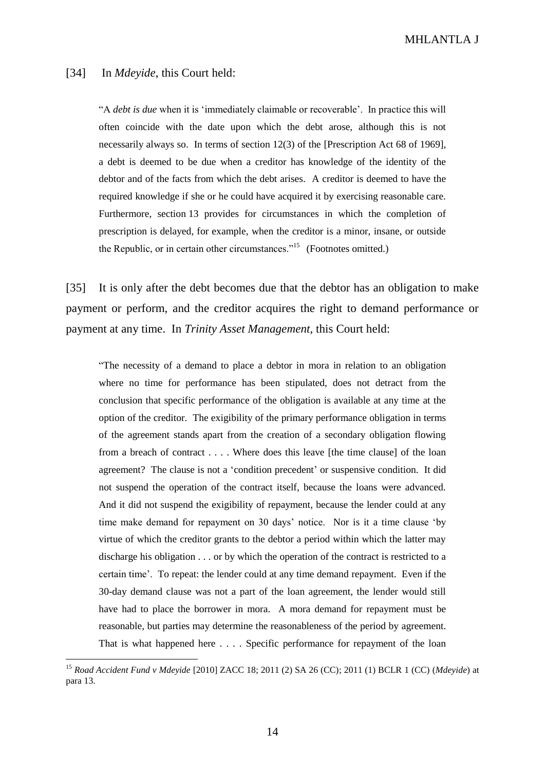#### MHLANTLA J

#### [34] In *Mdeyide*, this Court held:

 $\overline{a}$ 

"A *debt is due* when it is 'immediately claimable or recoverable'. In practice this will often coincide with the date upon which the debt arose, although this is not necessarily always so. In terms of section 12(3) of the [Prescription Act 68 of 1969], a debt is deemed to be due when a creditor has knowledge of the identity of the debtor and of the facts from which the debt arises. A creditor is deemed to have the required knowledge if she or he could have acquired it by exercising reasonable care. Furthermore, section 13 provides for circumstances in which the completion of prescription is delayed, for example, when the creditor is a minor, insane, or outside the Republic, or in certain other circumstances."<sup>15</sup> (Footnotes omitted.)

[35] It is only after the debt becomes due that the debtor has an obligation to make payment or perform, and the creditor acquires the right to demand performance or payment at any time. In *Trinity Asset Management*, this Court held:

"The necessity of a demand to place a debtor in mora in relation to an obligation where no time for performance has been stipulated, does not detract from the conclusion that specific performance of the obligation is available at any time at the option of the creditor. The exigibility of the primary performance obligation in terms of the agreement stands apart from the creation of a secondary obligation flowing from a breach of contract . . . . Where does this leave [the time clause] of the loan agreement? The clause is not a 'condition precedent' or suspensive condition. It did not suspend the operation of the contract itself, because the loans were advanced. And it did not suspend the exigibility of repayment, because the lender could at any time make demand for repayment on 30 days' notice. Nor is it a time clause 'by virtue of which the creditor grants to the debtor a period within which the latter may discharge his obligation . . . or by which the operation of the contract is restricted to a certain time'.To repeat: the lender could at any time demand repayment. Even if the 30-day demand clause was not a part of the loan agreement, the lender would still have had to place the borrower in mora. A mora demand for repayment must be reasonable, but parties may determine the reasonableness of the period by agreement. That is what happened here . . . . Specific performance for repayment of the loan

<sup>15</sup> *Road Accident Fund v Mdeyide* [2010] ZACC 18; 2011 (2) SA 26 (CC); 2011 (1) BCLR 1 (CC) (*Mdeyide*) at para 13.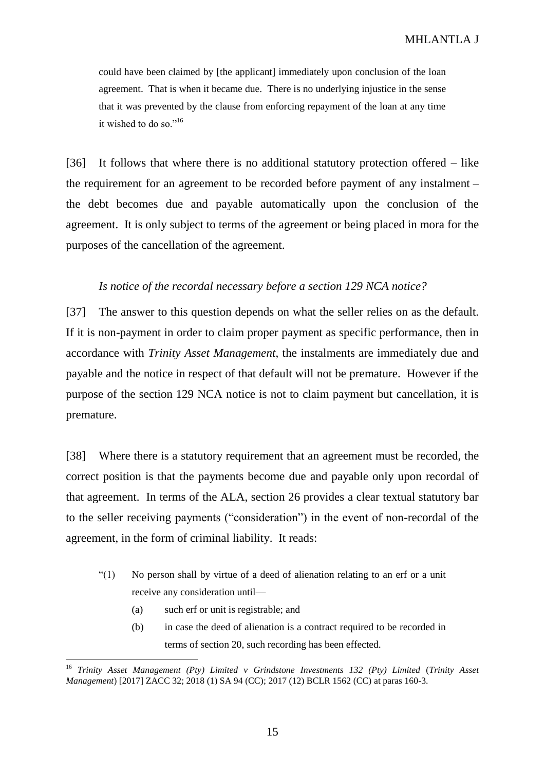could have been claimed by [the applicant] immediately upon conclusion of the loan agreement. That is when it became due. There is no underlying injustice in the sense that it was prevented by the clause from enforcing repayment of the loan at any time it wished to do so."<sup>16</sup>

[36] It follows that where there is no additional statutory protection offered – like the requirement for an agreement to be recorded before payment of any instalment – the debt becomes due and payable automatically upon the conclusion of the agreement. It is only subject to terms of the agreement or being placed in mora for the purposes of the cancellation of the agreement.

### *Is notice of the recordal necessary before a section 129 NCA notice?*

[37] The answer to this question depends on what the seller relies on as the default. If it is non-payment in order to claim proper payment as specific performance, then in accordance with *Trinity Asset Management*, the instalments are immediately due and payable and the notice in respect of that default will not be premature. However if the purpose of the section 129 NCA notice is not to claim payment but cancellation, it is premature.

[38] Where there is a statutory requirement that an agreement must be recorded, the correct position is that the payments become due and payable only upon recordal of that agreement. In terms of the ALA, section 26 provides a clear textual statutory bar to the seller receiving payments ("consideration") in the event of non-recordal of the agreement, in the form of criminal liability. It reads:

- "(1) No person shall by virtue of a deed of alienation relating to an erf or a unit receive any consideration until—
	- (a) such erf or unit is registrable; and

 $\overline{a}$ 

(b) in case the deed of alienation is a contract required to be recorded in terms of section 20, such recording has been effected.

<sup>16</sup> *Trinity Asset Management (Pty) Limited v Grindstone Investments 132 (Pty) Limited* (*Trinity Asset Management*) [2017] ZACC 32; 2018 (1) SA 94 (CC); 2017 (12) BCLR 1562 (CC) at paras 160-3.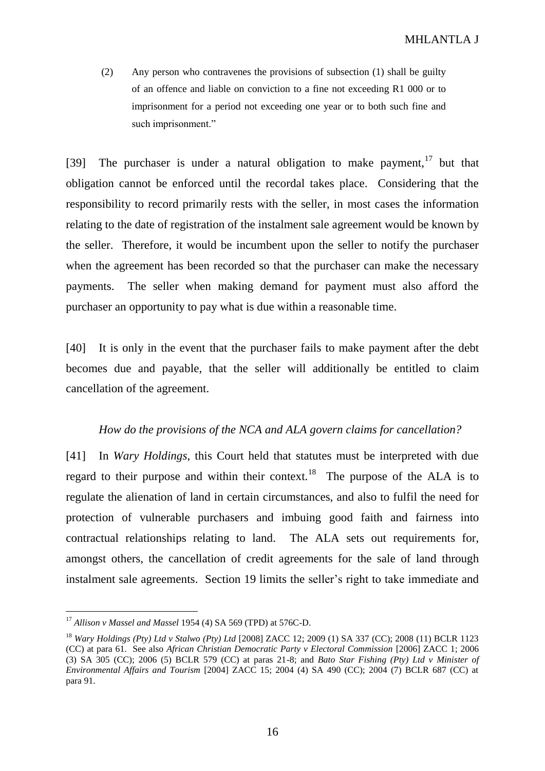(2) Any person who contravenes the provisions of subsection (1) shall be guilty of an offence and liable on conviction to a fine not exceeding R1 000 or to imprisonment for a period not exceeding one year or to both such fine and such imprisonment."

[39] The purchaser is under a natural obligation to make payment,  $17$  but that obligation cannot be enforced until the recordal takes place. Considering that the responsibility to record primarily rests with the seller, in most cases the information relating to the date of registration of the instalment sale agreement would be known by the seller. Therefore, it would be incumbent upon the seller to notify the purchaser when the agreement has been recorded so that the purchaser can make the necessary payments. The seller when making demand for payment must also afford the purchaser an opportunity to pay what is due within a reasonable time.

[40] It is only in the event that the purchaser fails to make payment after the debt becomes due and payable, that the seller will additionally be entitled to claim cancellation of the agreement.

### *How do the provisions of the NCA and ALA govern claims for cancellation?*

[41] In *Wary Holdings*, this Court held that statutes must be interpreted with due regard to their purpose and within their context.<sup>18</sup> The purpose of the ALA is to regulate the alienation of land in certain circumstances, and also to fulfil the need for protection of vulnerable purchasers and imbuing good faith and fairness into contractual relationships relating to land. The ALA sets out requirements for, amongst others, the cancellation of credit agreements for the sale of land through instalment sale agreements. Section 19 limits the seller's right to take immediate and

<sup>17</sup> *Allison v Massel and Massel* 1954 (4) SA 569 (TPD) at 576C-D.

<sup>18</sup> *Wary Holdings (Pty) Ltd v Stalwo (Pty) Ltd* [2008] ZACC 12; 2009 (1) SA 337 (CC); 2008 (11) BCLR 1123 (CC) at para 61. See also *African Christian Democratic Party v Electoral Commission* [2006] ZACC 1; 2006 (3) SA 305 (CC); 2006 (5) BCLR 579 (CC) at paras 21-8; and *Bato Star Fishing (Pty) Ltd v Minister of Environmental Affairs and Tourism* [2004] ZACC 15; 2004 (4) SA 490 (CC); 2004 (7) BCLR 687 (CC) at para 91.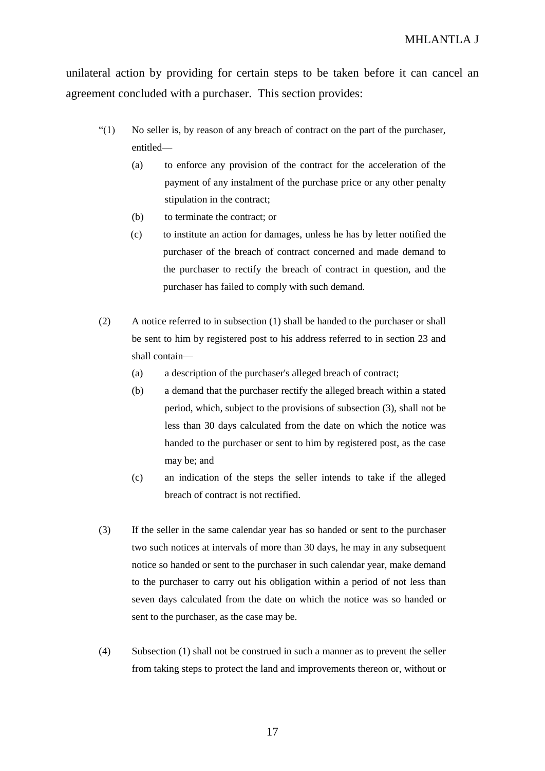unilateral action by providing for certain steps to be taken before it can cancel an agreement concluded with a purchaser. This section provides:

- $\binom{10}{1}$  No seller is, by reason of any breach of contract on the part of the purchaser, entitled—
	- (a) to enforce any provision of the contract for the acceleration of the payment of any instalment of the purchase price or any other penalty stipulation in the contract;
	- (b) to terminate the contract; or
	- (c) to institute an action for damages, unless he has by letter notified the purchaser of the breach of contract concerned and made demand to the purchaser to rectify the breach of contract in question, and the purchaser has failed to comply with such demand.
- (2) A notice referred to in subsection (1) shall be handed to the purchaser or shall be sent to him by registered post to his address referred to in section 23 and shall contain—
	- (a) a description of the purchaser's alleged breach of contract;
	- (b) a demand that the purchaser rectify the alleged breach within a stated period, which, subject to the provisions of subsection (3), shall not be less than 30 days calculated from the date on which the notice was handed to the purchaser or sent to him by registered post, as the case may be; and
	- (c) an indication of the steps the seller intends to take if the alleged breach of contract is not rectified.
- (3) If the seller in the same calendar year has so handed or sent to the purchaser two such notices at intervals of more than 30 days, he may in any subsequent notice so handed or sent to the purchaser in such calendar year, make demand to the purchaser to carry out his obligation within a period of not less than seven days calculated from the date on which the notice was so handed or sent to the purchaser, as the case may be.
- (4) Subsection (1) shall not be construed in such a manner as to prevent the seller from taking steps to protect the land and improvements thereon or, without or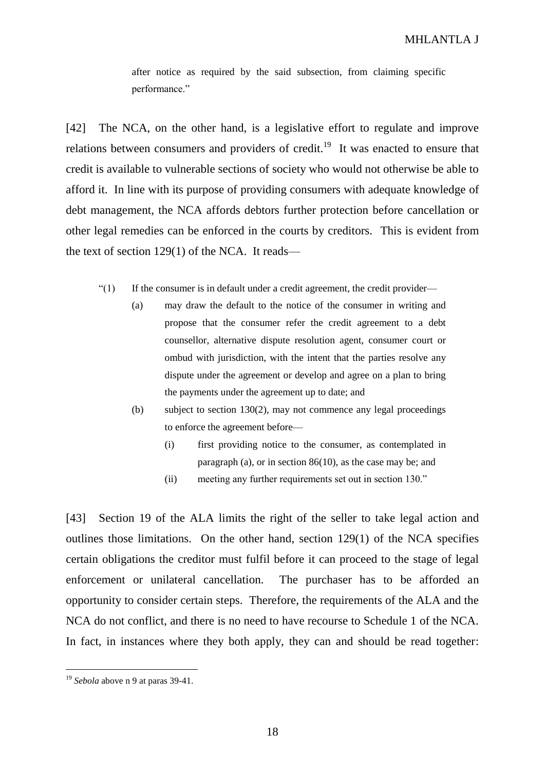after notice as required by the said subsection, from claiming specific performance."

[42] The NCA, on the other hand, is a legislative effort to regulate and improve relations between consumers and providers of credit.<sup>19</sup> It was enacted to ensure that credit is available to vulnerable sections of society who would not otherwise be able to afford it. In line with its purpose of providing consumers with adequate knowledge of debt management, the NCA affords debtors further protection before cancellation or other legal remedies can be enforced in the courts by creditors. This is evident from the text of section 129(1) of the NCA. It reads—

- "(1) If the consumer is in default under a credit agreement, the credit provider—
	- (a) may draw the default to the notice of the consumer in writing and propose that the consumer refer the credit agreement to a debt counsellor, alternative dispute resolution agent, consumer court or ombud with jurisdiction, with the intent that the parties resolve any dispute under the agreement or develop and agree on a plan to bring the payments under the agreement up to date; and
	- (b) subject to section 130(2), may not commence any legal proceedings to enforce the agreement before—
		- (i) first providing notice to the consumer, as contemplated in paragraph (a), or in section 86(10), as the case may be; and
		- (ii) meeting any further requirements set out in section 130."

[43] Section 19 of the ALA limits the right of the seller to take legal action and outlines those limitations. On the other hand, section 129(1) of the NCA specifies certain obligations the creditor must fulfil before it can proceed to the stage of legal enforcement or unilateral cancellation. The purchaser has to be afforded an opportunity to consider certain steps. Therefore, the requirements of the ALA and the NCA do not conflict, and there is no need to have recourse to Schedule 1 of the NCA. In fact, in instances where they both apply, they can and should be read together:

<sup>19</sup> *Sebola* above n 9 at paras 39-41.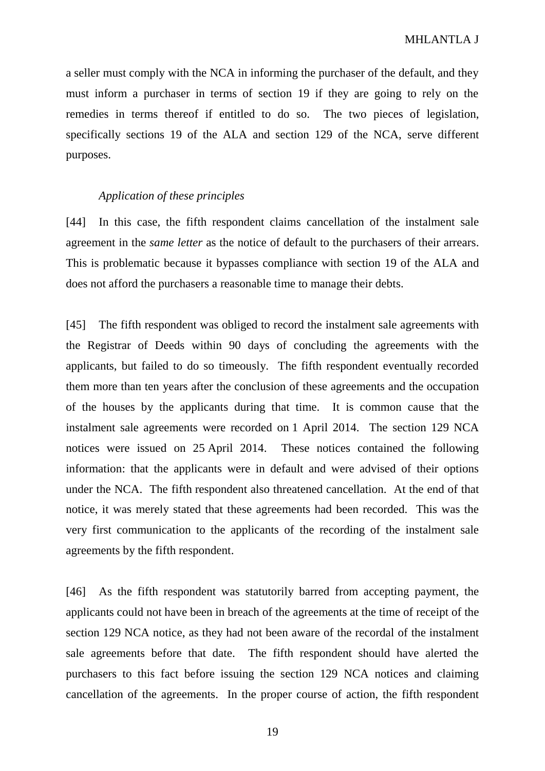a seller must comply with the NCA in informing the purchaser of the default, and they must inform a purchaser in terms of section 19 if they are going to rely on the remedies in terms thereof if entitled to do so. The two pieces of legislation, specifically sections 19 of the ALA and section 129 of the NCA, serve different purposes.

### *Application of these principles*

[44] In this case, the fifth respondent claims cancellation of the instalment sale agreement in the *same letter* as the notice of default to the purchasers of their arrears. This is problematic because it bypasses compliance with section 19 of the ALA and does not afford the purchasers a reasonable time to manage their debts.

[45] The fifth respondent was obliged to record the instalment sale agreements with the Registrar of Deeds within 90 days of concluding the agreements with the applicants, but failed to do so timeously. The fifth respondent eventually recorded them more than ten years after the conclusion of these agreements and the occupation of the houses by the applicants during that time. It is common cause that the instalment sale agreements were recorded on 1 April 2014. The section 129 NCA notices were issued on 25 April 2014. These notices contained the following information: that the applicants were in default and were advised of their options under the NCA. The fifth respondent also threatened cancellation. At the end of that notice, it was merely stated that these agreements had been recorded. This was the very first communication to the applicants of the recording of the instalment sale agreements by the fifth respondent.

[46] As the fifth respondent was statutorily barred from accepting payment, the applicants could not have been in breach of the agreements at the time of receipt of the section 129 NCA notice, as they had not been aware of the recordal of the instalment sale agreements before that date. The fifth respondent should have alerted the purchasers to this fact before issuing the section 129 NCA notices and claiming cancellation of the agreements. In the proper course of action, the fifth respondent

19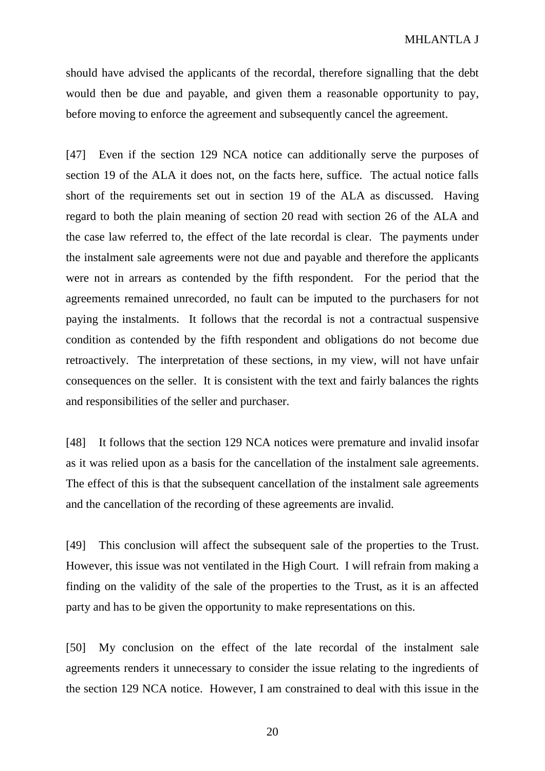should have advised the applicants of the recordal, therefore signalling that the debt would then be due and payable, and given them a reasonable opportunity to pay, before moving to enforce the agreement and subsequently cancel the agreement.

[47] Even if the section 129 NCA notice can additionally serve the purposes of section 19 of the ALA it does not, on the facts here, suffice. The actual notice falls short of the requirements set out in section 19 of the ALA as discussed. Having regard to both the plain meaning of section 20 read with section 26 of the ALA and the case law referred to, the effect of the late recordal is clear. The payments under the instalment sale agreements were not due and payable and therefore the applicants were not in arrears as contended by the fifth respondent*.* For the period that the agreements remained unrecorded, no fault can be imputed to the purchasers for not paying the instalments. It follows that the recordal is not a contractual suspensive condition as contended by the fifth respondent and obligations do not become due retroactively. The interpretation of these sections, in my view, will not have unfair consequences on the seller. It is consistent with the text and fairly balances the rights and responsibilities of the seller and purchaser.

[48] It follows that the section 129 NCA notices were premature and invalid insofar as it was relied upon as a basis for the cancellation of the instalment sale agreements. The effect of this is that the subsequent cancellation of the instalment sale agreements and the cancellation of the recording of these agreements are invalid.

[49] This conclusion will affect the subsequent sale of the properties to the Trust. However, this issue was not ventilated in the High Court. I will refrain from making a finding on the validity of the sale of the properties to the Trust, as it is an affected party and has to be given the opportunity to make representations on this.

[50] My conclusion on the effect of the late recordal of the instalment sale agreements renders it unnecessary to consider the issue relating to the ingredients of the section 129 NCA notice. However, I am constrained to deal with this issue in the

20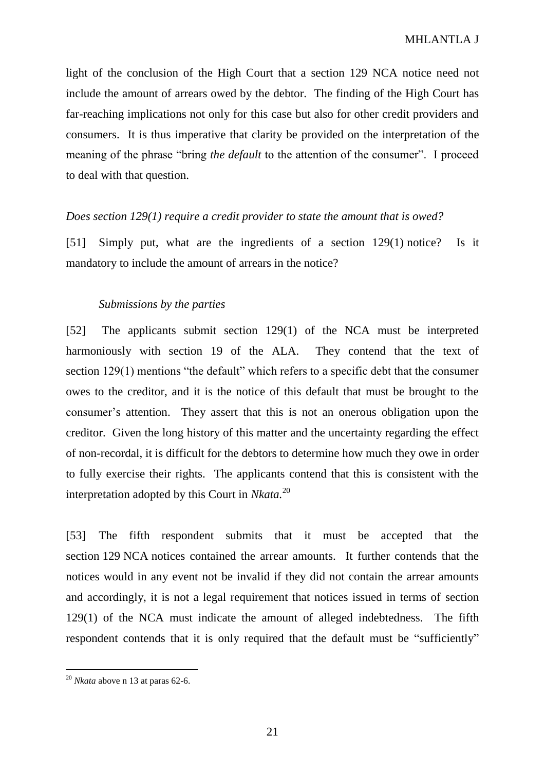light of the conclusion of the High Court that a section 129 NCA notice need not include the amount of arrears owed by the debtor. The finding of the High Court has far-reaching implications not only for this case but also for other credit providers and consumers. It is thus imperative that clarity be provided on the interpretation of the meaning of the phrase "bring *the default* to the attention of the consumer". I proceed to deal with that question.

# *Does section 129(1) require a credit provider to state the amount that is owed?*

[51] Simply put, what are the ingredients of a section 129(1) notice? Is it mandatory to include the amount of arrears in the notice?

# *Submissions by the parties*

[52] The applicants submit section 129(1) of the NCA must be interpreted harmoniously with section 19 of the ALA. They contend that the text of section 129(1) mentions "the default" which refers to a specific debt that the consumer owes to the creditor, and it is the notice of this default that must be brought to the consumer's attention. They assert that this is not an onerous obligation upon the creditor. Given the long history of this matter and the uncertainty regarding the effect of non-recordal, it is difficult for the debtors to determine how much they owe in order to fully exercise their rights. The applicants contend that this is consistent with the interpretation adopted by this Court in *Nkata.*<sup>20</sup>

[53] The fifth respondent submits that it must be accepted that the section 129 NCA notices contained the arrear amounts. It further contends that the notices would in any event not be invalid if they did not contain the arrear amounts and accordingly, it is not a legal requirement that notices issued in terms of section 129(1) of the NCA must indicate the amount of alleged indebtedness. The fifth respondent contends that it is only required that the default must be "sufficiently"

 $^{20}$  *Nkata* above n 13 at paras 62-6.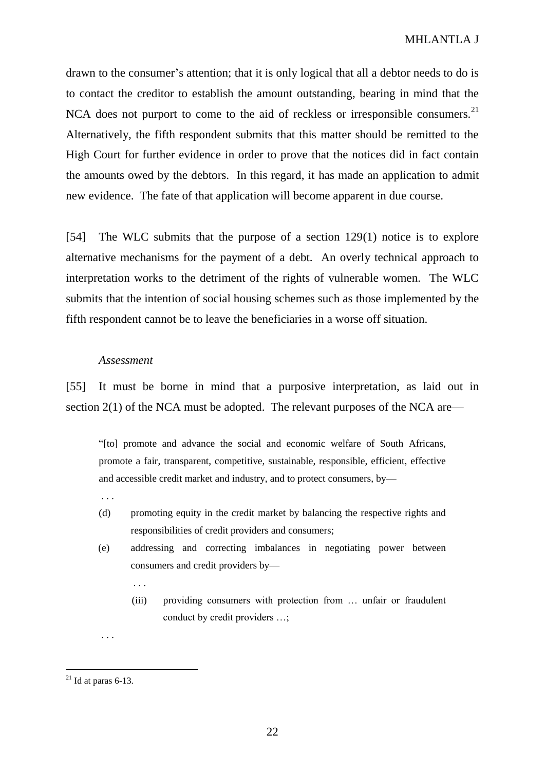drawn to the consumer's attention; that it is only logical that all a debtor needs to do is to contact the creditor to establish the amount outstanding, bearing in mind that the NCA does not purport to come to the aid of reckless or irresponsible consumers.<sup>21</sup> Alternatively, the fifth respondent submits that this matter should be remitted to the High Court for further evidence in order to prove that the notices did in fact contain the amounts owed by the debtors. In this regard, it has made an application to admit new evidence. The fate of that application will become apparent in due course.

[54] The WLC submits that the purpose of a section 129(1) notice is to explore alternative mechanisms for the payment of a debt. An overly technical approach to interpretation works to the detriment of the rights of vulnerable women. The WLC submits that the intention of social housing schemes such as those implemented by the fifth respondent cannot be to leave the beneficiaries in a worse off situation.

### *Assessment*

[55] It must be borne in mind that a purposive interpretation, as laid out in section 2(1) of the NCA must be adopted. The relevant purposes of the NCA are—

"[to] promote and advance the social and economic welfare of South Africans, promote a fair, transparent, competitive, sustainable, responsible, efficient, effective and accessible credit market and industry, and to protect consumers, by—

. . .

. . .

- (d) promoting equity in the credit market by balancing the respective rights and responsibilities of credit providers and consumers;
- (e) addressing and correcting imbalances in negotiating power between consumers and credit providers by—
	- (iii) providing consumers with protection from … unfair or fraudulent conduct by credit providers …;

 $\overline{a}$ 

. . .

 $^{21}$  Id at paras 6-13.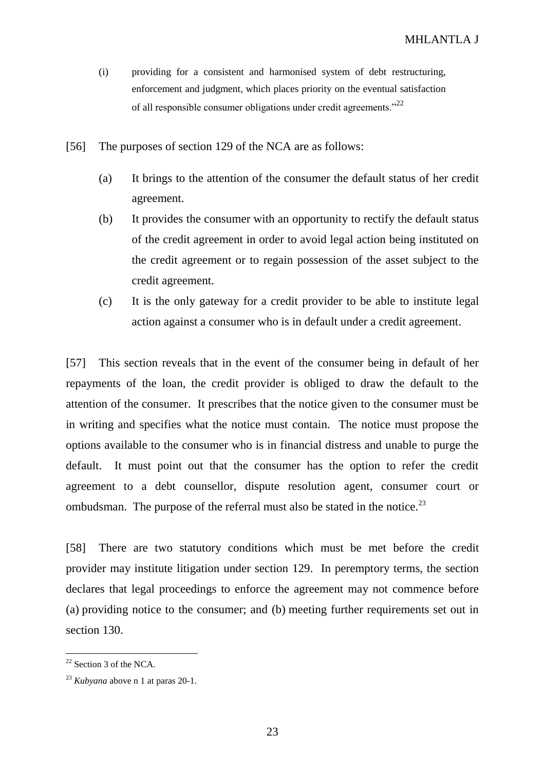- (i) providing for a consistent and harmonised system of debt restructuring, enforcement and judgment, which places priority on the eventual satisfaction of all responsible consumer obligations under credit agreements."<sup>22</sup>
- [56] The purposes of section 129 of the NCA are as follows:
	- (a) It brings to the attention of the consumer the default status of her credit agreement.
	- (b) It provides the consumer with an opportunity to rectify the default status of the credit agreement in order to avoid legal action being instituted on the credit agreement or to regain possession of the asset subject to the credit agreement.
	- (c) It is the only gateway for a credit provider to be able to institute legal action against a consumer who is in default under a credit agreement.

[57] This section reveals that in the event of the consumer being in default of her repayments of the loan, the credit provider is obliged to draw the default to the attention of the consumer. It prescribes that the notice given to the consumer must be in writing and specifies what the notice must contain. The notice must propose the options available to the consumer who is in financial distress and unable to purge the default. It must point out that the consumer has the option to refer the credit agreement to a debt counsellor, dispute resolution agent, consumer court or ombudsman. The purpose of the referral must also be stated in the notice.<sup>23</sup>

[58] There are two statutory conditions which must be met before the credit provider may institute litigation under section 129. In peremptory terms, the section declares that legal proceedings to enforce the agreement may not commence before (a) providing notice to the consumer; and (b) meeting further requirements set out in section 130.

 $22$  Section 3 of the NCA.

<sup>23</sup> *Kubyana* above n 1 at paras 20-1.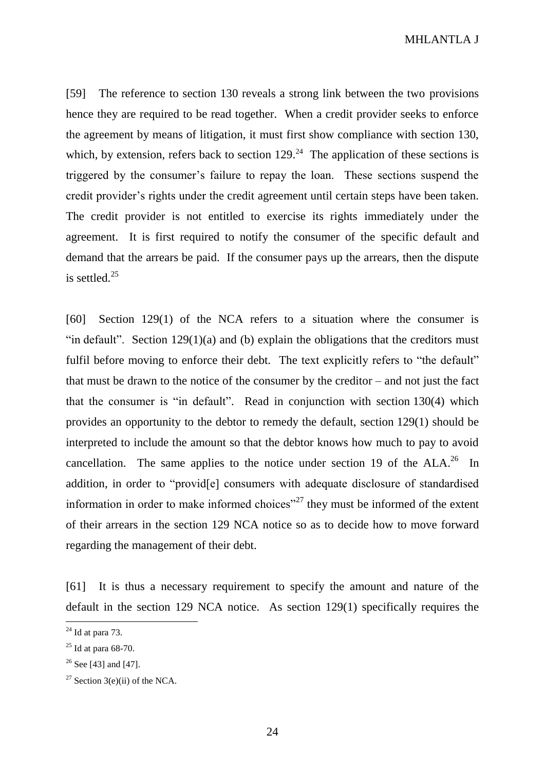MHLANTLA J

[59] The reference to section 130 reveals a strong link between the two provisions hence they are required to be read together. When a credit provider seeks to enforce the agreement by means of litigation, it must first show compliance with section 130, which, by extension, refers back to section  $129<sup>24</sup>$ . The application of these sections is triggered by the consumer's failure to repay the loan. These sections suspend the credit provider's rights under the credit agreement until certain steps have been taken. The credit provider is not entitled to exercise its rights immediately under the agreement. It is first required to notify the consumer of the specific default and demand that the arrears be paid. If the consumer pays up the arrears, then the dispute is settled. $25$ 

[60] Section 129(1) of the NCA refers to a situation where the consumer is "in default". Section  $129(1)(a)$  and (b) explain the obligations that the creditors must fulfil before moving to enforce their debt. The text explicitly refers to "the default" that must be drawn to the notice of the consumer by the creditor – and not just the fact that the consumer is "in default". Read in conjunction with section 130(4) which provides an opportunity to the debtor to remedy the default, section 129(1) should be interpreted to include the amount so that the debtor knows how much to pay to avoid cancellation. The same applies to the notice under section 19 of the  $ALA.^{26}$  In addition, in order to "provid[e] consumers with adequate disclosure of standardised information in order to make informed choices<sup>"27</sup> they must be informed of the extent of their arrears in the section 129 NCA notice so as to decide how to move forward regarding the management of their debt.

[61] It is thus a necessary requirement to specify the amount and nature of the default in the section 129 NCA notice. As section 129(1) specifically requires the

 $24$  Id at para 73.

 $25$  Id at para 68-70.

<sup>&</sup>lt;sup>26</sup> See [43] and [47].

<sup>&</sup>lt;sup>27</sup> Section 3(e)(ii) of the NCA.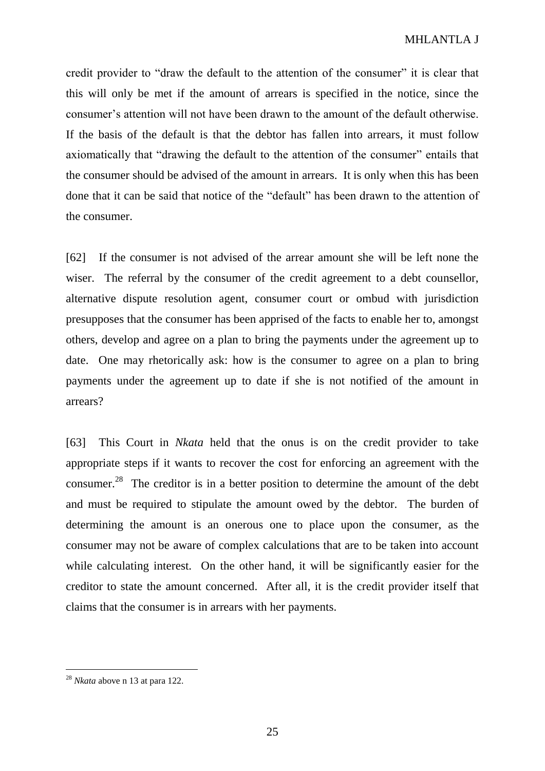credit provider to "draw the default to the attention of the consumer" it is clear that this will only be met if the amount of arrears is specified in the notice, since the consumer's attention will not have been drawn to the amount of the default otherwise. If the basis of the default is that the debtor has fallen into arrears, it must follow axiomatically that "drawing the default to the attention of the consumer" entails that the consumer should be advised of the amount in arrears. It is only when this has been done that it can be said that notice of the "default" has been drawn to the attention of the consumer.

[62] If the consumer is not advised of the arrear amount she will be left none the wiser. The referral by the consumer of the credit agreement to a debt counsellor, alternative dispute resolution agent, consumer court or ombud with jurisdiction presupposes that the consumer has been apprised of the facts to enable her to, amongst others, develop and agree on a plan to bring the payments under the agreement up to date. One may rhetorically ask: how is the consumer to agree on a plan to bring payments under the agreement up to date if she is not notified of the amount in arrears?

[63] This Court in *Nkata* held that the onus is on the credit provider to take appropriate steps if it wants to recover the cost for enforcing an agreement with the consumer.<sup>28</sup> The creditor is in a better position to determine the amount of the debt and must be required to stipulate the amount owed by the debtor. The burden of determining the amount is an onerous one to place upon the consumer, as the consumer may not be aware of complex calculations that are to be taken into account while calculating interest. On the other hand, it will be significantly easier for the creditor to state the amount concerned. After all, it is the credit provider itself that claims that the consumer is in arrears with her payments.

<sup>28</sup> *Nkata* above n 13 at para 122.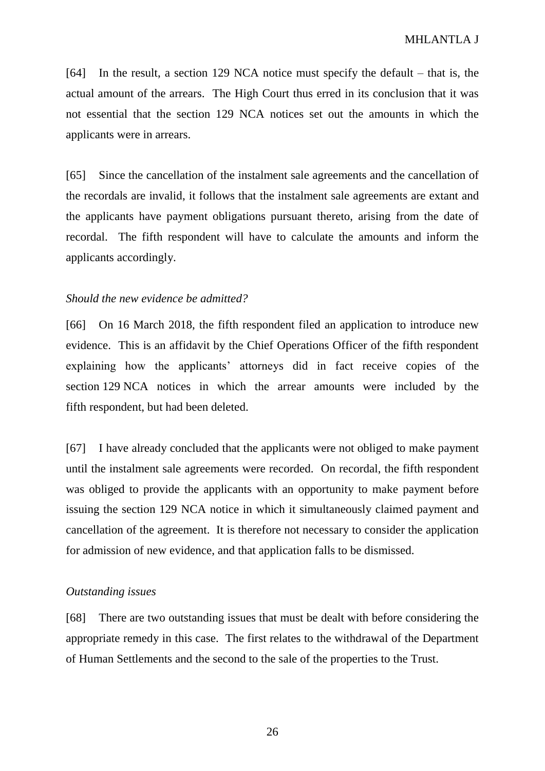[64] In the result, a section 129 NCA notice must specify the default – that is, the actual amount of the arrears. The High Court thus erred in its conclusion that it was not essential that the section 129 NCA notices set out the amounts in which the applicants were in arrears.

[65] Since the cancellation of the instalment sale agreements and the cancellation of the recordals are invalid, it follows that the instalment sale agreements are extant and the applicants have payment obligations pursuant thereto, arising from the date of recordal. The fifth respondent will have to calculate the amounts and inform the applicants accordingly.

### *Should the new evidence be admitted?*

[66] On 16 March 2018, the fifth respondent filed an application to introduce new evidence. This is an affidavit by the Chief Operations Officer of the fifth respondent explaining how the applicants' attorneys did in fact receive copies of the section 129 NCA notices in which the arrear amounts were included by the fifth respondent, but had been deleted.

[67] I have already concluded that the applicants were not obliged to make payment until the instalment sale agreements were recorded. On recordal, the fifth respondent was obliged to provide the applicants with an opportunity to make payment before issuing the section 129 NCA notice in which it simultaneously claimed payment and cancellation of the agreement. It is therefore not necessary to consider the application for admission of new evidence, and that application falls to be dismissed.

### *Outstanding issues*

[68] There are two outstanding issues that must be dealt with before considering the appropriate remedy in this case. The first relates to the withdrawal of the Department of Human Settlements and the second to the sale of the properties to the Trust.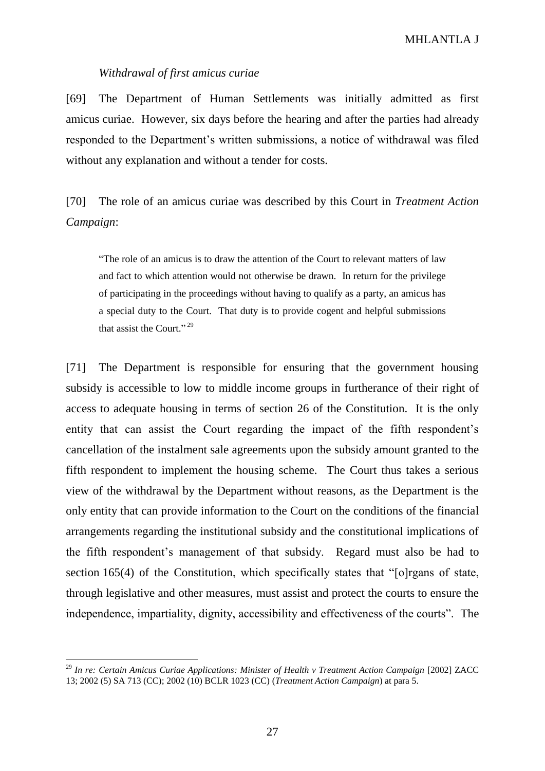### *Withdrawal of first amicus curiae*

[69] The Department of Human Settlements was initially admitted as first amicus curiae. However, six days before the hearing and after the parties had already responded to the Department's written submissions, a notice of withdrawal was filed without any explanation and without a tender for costs.

[70] The role of an amicus curiae was described by this Court in *Treatment Action Campaign*:

"The role of an amicus is to draw the attention of the Court to relevant matters of law and fact to which attention would not otherwise be drawn. In return for the privilege of participating in the proceedings without having to qualify as a party, an amicus has a special duty to the Court. That duty is to provide cogent and helpful submissions that assist the Court."<sup>29</sup>

[71] The Department is responsible for ensuring that the government housing subsidy is accessible to low to middle income groups in furtherance of their right of access to adequate housing in terms of section 26 of the Constitution. It is the only entity that can assist the Court regarding the impact of the fifth respondent's cancellation of the instalment sale agreements upon the subsidy amount granted to the fifth respondent to implement the housing scheme. The Court thus takes a serious view of the withdrawal by the Department without reasons, as the Department is the only entity that can provide information to the Court on the conditions of the financial arrangements regarding the institutional subsidy and the constitutional implications of the fifth respondent's management of that subsidy. Regard must also be had to section 165(4) of the Constitution, which specifically states that "[o]rgans of state, through legislative and other measures, must assist and protect the courts to ensure the independence, impartiality, dignity, accessibility and effectiveness of the courts". The

<sup>29</sup> *In re: Certain Amicus Curiae Applications: Minister of Health v Treatment Action Campaign* [2002] ZACC 13; 2002 (5) SA 713 (CC); 2002 (10) BCLR 1023 (CC) (*Treatment Action Campaign*) at para 5.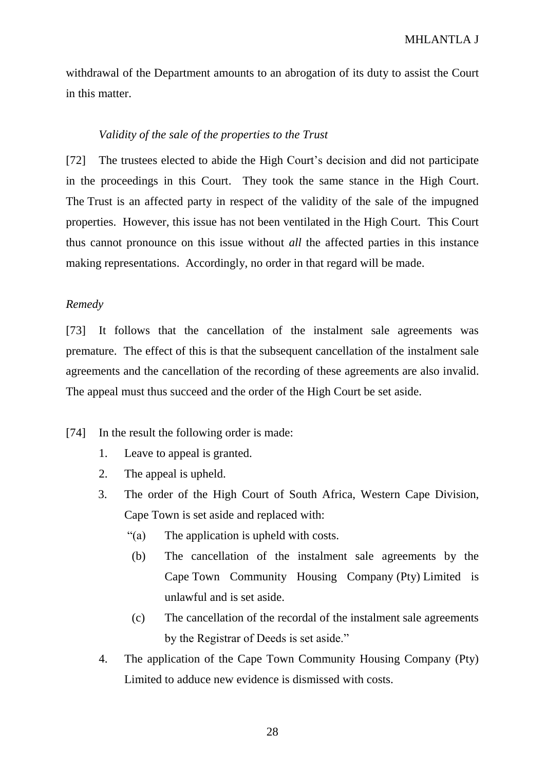withdrawal of the Department amounts to an abrogation of its duty to assist the Court in this matter.

### *Validity of the sale of the properties to the Trust*

[72] The trustees elected to abide the High Court's decision and did not participate in the proceedings in this Court. They took the same stance in the High Court. The Trust is an affected party in respect of the validity of the sale of the impugned properties. However, this issue has not been ventilated in the High Court. This Court thus cannot pronounce on this issue without *all* the affected parties in this instance making representations. Accordingly, no order in that regard will be made.

### *Remedy*

[73] It follows that the cancellation of the instalment sale agreements was premature. The effect of this is that the subsequent cancellation of the instalment sale agreements and the cancellation of the recording of these agreements are also invalid. The appeal must thus succeed and the order of the High Court be set aside.

### [74] In the result the following order is made:

- 1. Leave to appeal is granted.
- 2. The appeal is upheld.
- 3. The order of the High Court of South Africa, Western Cape Division, Cape Town is set aside and replaced with:
	- "(a) The application is upheld with costs.
		- (b) The cancellation of the instalment sale agreements by the Cape Town Community Housing Company (Pty) Limited is unlawful and is set aside.
	- (c) The cancellation of the recordal of the instalment sale agreements by the Registrar of Deeds is set aside."
- 4. The application of the Cape Town Community Housing Company (Pty) Limited to adduce new evidence is dismissed with costs.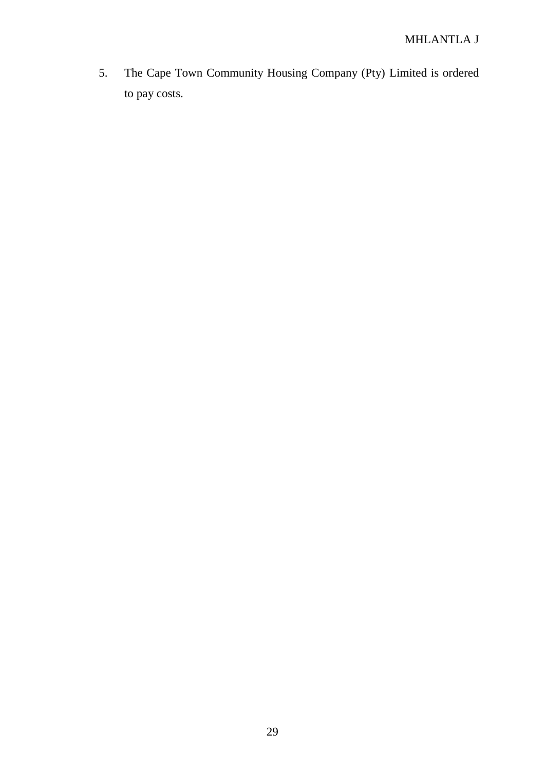5. The Cape Town Community Housing Company (Pty) Limited is ordered to pay costs.